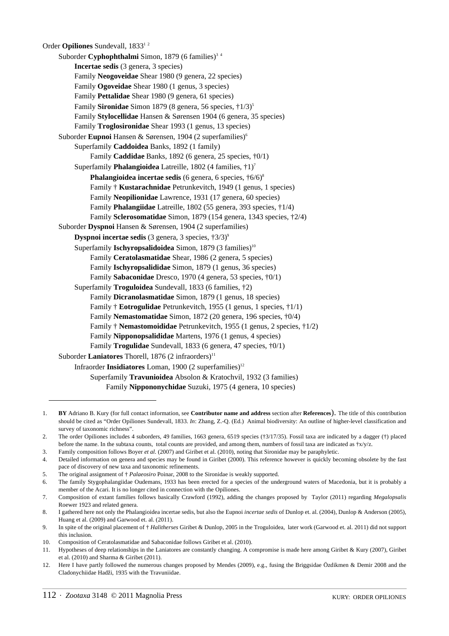Order **Opiliones** Sundevall, 1833<sup>1</sup> Suborder **Cyphophthalmi** Simon, 1879 (6 families)<sup>34</sup> **Incertae sedis** (3 genera, 3 species) Family **Neogoveidae** Shear 1980 (9 genera, 22 species) Family **Ogoveidae** Shear 1980 (1 genus, 3 species) Family **Pettalidae** Shear 1980 (9 genera, 61 species) Family **Sironidae** Simon 1879 (8 genera, 56 species,  $\frac{1}{3}$ )<sup>5</sup> Family **Stylocellidae** Hansen & Sørensen 1904 (6 genera, 35 species) Family **Troglosironidae** Shear 1993 (1 genus, 13 species) Suborder **Eupnoi** Hansen & Sørensen, 1904 (2 superfamilies)<sup>6</sup> Superfamily **Caddoidea** Banks, 1892 (1 family) Family **Caddidae** Banks, 1892 (6 genera, 25 species, †0/1) Superfamily **Phalangioidea** Latreille, 1802 (4 families, †1)7 **Phalangioidea incertae sedis** (6 genera, 6 species,  $\frac{1}{6}$ /6)<sup>8</sup> Family † **Kustarachnidae** Petrunkevitch, 1949 (1 genus, 1 species) Family **Neopilionidae** Lawrence, 1931 (17 genera, 60 species) Family **Phalangiidae** Latreille, 1802 (55 genera, 393 species, †1/4) Family **Sclerosomatidae** Simon, 1879 (154 genera, 1343 species, †2/4) Suborder **Dyspnoi** Hansen & Sørensen, 1904 (2 superfamilies) **Dyspnoi incertae sedis** (3 genera, 3 species,  $\pm 3/3$ )<sup>9</sup> Superfamily **Ischyropsalidoidea** Simon, 1879 (3 families)<sup>10</sup> Family **Ceratolasmatidae** Shear, 1986 (2 genera, 5 species) Family **Ischyropsalididae** Simon, 1879 (1 genus, 36 species) Family **Sabaconidae** Dresco, 1970 (4 genera, 53 species, †0/1) Superfamily **Troguloidea** Sundevall, 1833 (6 families, †2) Family **Dicranolasmatidae** Simon, 1879 (1 genus, 18 species) Family † **Eotrogulidae** Petrunkevitch, 1955 (1 genus, 1 species, †1/1) Family **Nemastomatidae** Simon, 1872 (20 genera, 196 species, †0/4) Family † **Nemastomoididae** Petrunkevitch, 1955 (1 genus, 2 species, †1/2) Family **Nipponopsalididae** Martens, 1976 (1 genus, 4 species) Family **Trogulidae** Sundevall, 1833 (6 genera, 47 species, †0/1) Suborder Laniatores Thorell, 1876 (2 infraorders)<sup>11</sup> Infraorder **Insidiatores** Loman, 1900 (2 superfamilies)<sup>12</sup> Superfamily **Travunioidea** Absolon & Kratochvil, 1932 (3 families)

Family **Nippononychidae** Suzuki, 1975 (4 genera, 10 species)

<sup>1.</sup> **BY** Adriano B. Kury (for full contact information, see **Contributor name and address** section after **References**). The title of this contribution should be cited as "Order Opiliones Sundevall, 1833. *In*: Zhang, Z.-Q. (Ed.) Animal biodiversity: An outline of higher-level classification and survey of taxonomic richness".

<sup>2.</sup> The order Opiliones includes 4 suborders, 49 families, 1663 genera, 6519 species (†3/17/35). Fossil taxa are indicated by a dagger (†) placed before the name. In the subtaxa counts, total counts are provided, and among them, numbers of fossil taxa are indicated as  $\frac{1}{2}x/y/z$ .

<sup>3.</sup> Family composition follows Boyer *et al.* (2007) and Giribet et al. (2010), noting that Sironidae may be paraphyletic.

<sup>4.</sup> Detailed information on genera and species may be found in Giribet (2000). This reference however is quickly becoming obsolete by the fast pace of discovery of new taxa and taxonomic refinements.

<sup>5.</sup> The original assignment of † *Palaeosiro* Poinar, 2008 to the Sironidae is weakly supported.

<sup>6.</sup> The family Stygophalangiidae Oudemans, 1933 has been erected for a species of the underground waters of Macedonia, but it is probably a member of the Acari. It is no longer cited in connection with the Opiliones.

<sup>7.</sup> Composition of extant families follows basically Crawford (1992), adding the changes proposed by Taylor (2011) regarding *Megalopsalis* Roewer 1923 and related genera.

<sup>8.</sup> I gathered here not only the Phalangioidea incertae sedis, but also the Eupnoi *incertae sedis* of Dunlop et. al. (2004), Dunlop & Anderson (2005), Huang et al. (2009) and Garwood et. al. (2011).

<sup>9.</sup> In spite of the original placement of † *Halitherses* Giribet & Dunlop, 2005 in the Troguloidea, later work (Garwood et. al. 2011) did not support this inclusion.

<sup>10.</sup> Composition of Ceratolasmatidae and Sabaconidae follows Giribet et al. (2010).

<sup>11.</sup> Hypotheses of deep relationships in the Laniatores are constantly changing. A compromise is made here among Giribet & Kury (2007), Giribet et al. (2010) and Sharma & Giribet (2011).

<sup>12.</sup> Here I have partly followed the numerous changes proposed by Mendes (2009), e.g., fusing the Briggsidae Özdikmen & Demir 2008 and the Cladonychiidae Hadži, 1935 with the Travuniidae.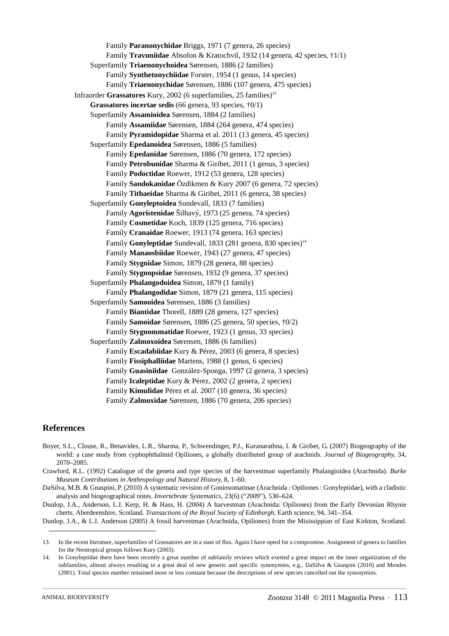Family **Paranonychidae** Briggs, 1971 (7 genera, 26 species) Family **Travuniidae** Absolon & Kratochvil, 1932 (14 genera, 42 species, †1/1) Superfamily **Triaenonychoidea** Sørensen, 1886 (2 families) Family **Synthetonychiidae** Forster, 1954 (1 genus, 14 species) Family **Triaenonychidae** Sørensen, 1886 (107 genera, 475 species) Infraorder Grassatores Kury, 2002 (6 superfamilies, 25 families)<sup>13</sup> **Grassatores incertae sedis** (66 genera, 93 species, †0/1) Superfamily **Assamioidea** Sørensen, 1884 (2 families) Family **Assamiidae** Sørensen, 1884 (264 genera, 474 species) Family **Pyramidopidae** Sharma et al. 2011 (13 genera, 45 species) Superfamily **Epedanoidea** Sørensen, 1886 (5 families) Family **Epedanidae** Sørensen, 1886 (70 genera, 172 species) Family **Petrobunidae** Sharma & Giribet, 2011 (1 genus, 3 species) Family **Podoctidae** Roewer, 1912 (53 genera, 128 species) Family **Sandokanidae** Özdikmen & Kury 2007 (6 genera, 72 species) Family **Tithaeidae** Sharma & Giribet, 2011 (6 genera, 38 species) Superfamily **Gonyleptoidea** Sundevall, 1833 (7 families) Family **Agoristenidae** Šilhavý, 1973 (25 genera, 74 species) Family **Cosmetidae** Koch, 1839 (125 genera, 716 species) Family **Cranaidae** Roewer, 1913 (74 genera, 163 species) Family Gonyleptidae Sundevall, 1833 (281 genera, 830 species)<sup>14</sup> Family **Manaosbiidae** Roewer, 1943 (27 genera, 47 species) Family **Stygnidae** Simon, 1879 (28 genera, 88 species) Family **Stygnopsidae** Sørensen, 1932 (9 genera, 37 species) Superfamily **Phalangodoidea** Simon, 1879 (1 family) Family **Phalangodidae** Simon, 1879 (21 genera, 115 species) Superfamily **Samooidea** Sørensen, 1886 (3 families) Family **Biantidae** Thorell, 1889 (28 genera, 127 species) Family **Samoidae** Sørensen, 1886 (25 genera, 50 species, †0/2) Family **Stygnommatidae** Roewer, 1923 (1 genus, 33 species) Superfamily **Zalmoxoidea** Sørensen, 1886 (6 families) Family **Escadabiidae** Kury & Pérez, 2003 (6 genera, 8 species) Family **Fissiphalliidae** Martens, 1988 (1 genus, 6 species) Family **Guasiniidae** González-Sponga, 1997 (2 genera, 3 species) Family **Icaleptidae** Kury & Pérez, 2002 (2 genera, 2 species) Family **Kimulidae** Pérez et al. 2007 (10 genera, 36 species) Family **Zalmoxidae** Sørensen, 1886 (70 genera, 206 species)

## **References**

Boyer, S.L., Clouse, R., Benavides, L.R., Sharma, P., Schwendinger, P.J., Kuranarathna, I. & Giribet, G. (2007) Biogeography of the world: a case study from cyphophthalmid Opiliones, a globally distributed group of arachnids. *Journal of Biogeography*, 34, 2070–2085.

Crawford, R.L. (1992) Catalogue of the genera and type species of the harvestman superfamily Phalangioidea (Arachnida). *Burke Museum Contributions in Anthropology and Natural History*, 8, 1–60.

DaSilva, M.B. & Gnaspini, P. (2010) A systematic revision of Goniosomatinae (Arachnida : Opiliones : Gonyleptidae), with a cladistic analysis and biogeographical notes. *Invertebrate Systematics*, 23(6) ("2009"), 530–624.

Dunlop, J.A., Anderson, L.I. Kerp, H. & Hass, H. (2004) A harvestman (Arachnida: Opiliones) from the Early Devonian Rhynie cherts, Aberdeenshire, Scotland. *Transactions of the Royal Society of Edinburgh*, Earth science, 94, 341–354.

Dunlop, J.A., & L.I. Anderson (2005) A fossil harvestman (Arachnida, Opiliones) from the Misissippian of East Kirkton, Scotland.

<sup>13.</sup> In the recent literature, superfamilies of Grassatores are in a state of flux. Again I have opted for a compromise. Assignment of genera to families for the Neotropical groups follows Kury (2003).

<sup>14.</sup> In Gonyleptidae there have been recently a great number of subfamily reviews which exerted a great impact on the inner organization of the subfamilies, almost always resulting in a great deal of new generic and specific synonymies, e.g., DaSilva & Gnaspini (2010) and Mendes (2001). Total species number remained more or less constant because the descriptions of new species cancelled out the synonymies.